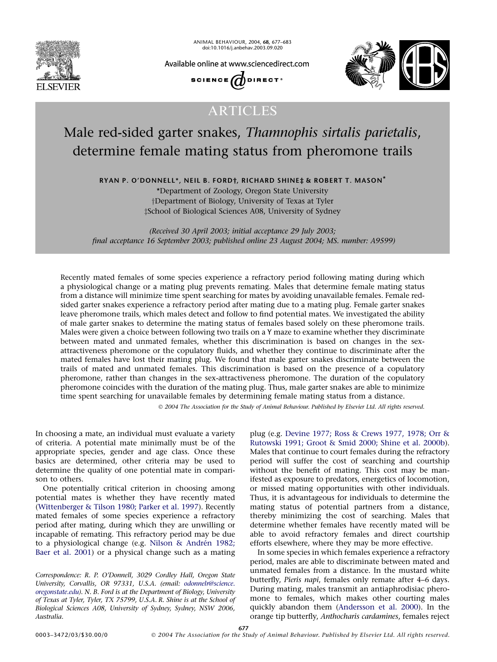

ANIMAL BEHAVIOUR, 2004, 68, 677–683 doi:10.1016/j.anbehav.2003.09.020





## ARTICLES

# Male red-sided garter snakes, Thamnophis sirtalis parietalis, determine female mating status from pheromone trails

RYAN P. O'DONNELL\*, NEIL B. FORD†, RICHARD SHINE‡ & ROBERT T. MASON<sup>\*</sup>

\*Department of Zoology, Oregon State University †Department of Biology, University of Texas at Tyler ‡School of Biological Sciences A08, University of Sydney

(Received 30 April 2003; initial acceptance 29 July 2003; final acceptance 16 September 2003; published online 23 August 2004; MS. number: A9599)

Recently mated females of some species experience a refractory period following mating during which a physiological change or a mating plug prevents remating. Males that determine female mating status from a distance will minimize time spent searching for mates by avoiding unavailable females. Female redsided garter snakes experience a refractory period after mating due to a mating plug. Female garter snakes leave pheromone trails, which males detect and follow to find potential mates. We investigated the ability of male garter snakes to determine the mating status of females based solely on these pheromone trails. Males were given a choice between following two trails on a Y maze to examine whether they discriminate between mated and unmated females, whether this discrimination is based on changes in the sexattractiveness pheromone or the copulatory fluids, and whether they continue to discriminate after the mated females have lost their mating plug. We found that male garter snakes discriminate between the trails of mated and unmated females. This discrimination is based on the presence of a copulatory pheromone, rather than changes in the sex-attractiveness pheromone. The duration of the copulatory pheromone coincides with the duration of the mating plug. Thus, male garter snakes are able to minimize time spent searching for unavailable females by determining female mating status from a distance.

2004 The Association for the Study of Animal Behaviour. Published by Elsevier Ltd. All rights reserved.

In choosing a mate, an individual must evaluate a variety of criteria. A potential mate minimally must be of the appropriate species, gender and age class. Once these basics are determined, other criteria may be used to determine the quality of one potential mate in comparison to others.

One potentially critical criterion in choosing among potential mates is whether they have recently mated ([Wittenberger & Tilson 1980; Parker et al. 1997\)](#page-6-0). Recently mated females of some species experience a refractory period after mating, during which they are unwilling or incapable of remating. This refractory period may be due to a physiological change (e.g. Nilson & Andrén 1982; [Baer et al. 2001\)](#page-6-0) or a physical change such as a mating

Correspondence: R. P. O'Donnell, 3029 Cordley Hall, Oregon State University, Corvallis, OR 97331, U.S.A. (email: [odonnelr@science.](mailto:odonnelr@science.oregonstate.edu) [oregonstate.edu\)](mailto:odonnelr@science.oregonstate.edu). N. B. Ford is at the Department of Biology, University of Texas at Tyler, Tyler, TX 75799, U.S.A. R. Shine is at the School of Biological Sciences A08, University of Sydney, Sydney, NSW 2006, Australia.

plug (e.g. [Devine 1977; Ross & Crews 1977, 1978; Orr &](#page-5-0) [Rutowski 1991; Groot & Smid 2000; Shine et al. 2000b](#page-5-0)). Males that continue to court females during the refractory period will suffer the cost of searching and courtship without the benefit of mating. This cost may be manifested as exposure to predators, energetics of locomotion, or missed mating opportunities with other individuals. Thus, it is advantageous for individuals to determine the mating status of potential partners from a distance, thereby minimizing the cost of searching. Males that determine whether females have recently mated will be able to avoid refractory females and direct courtship efforts elsewhere, where they may be more effective.

In some species in which females experience a refractory period, males are able to discriminate between mated and unmated females from a distance. In the mustard white butterfly, Pieris napi, females only remate after 4–6 days. During mating, males transmit an antiaphrodisiac pheromone to females, which makes other courting males quickly abandon them ([Andersson et al. 2000](#page-5-0)). In the orange tip butterfly, Anthocharis cardamines, females reject

677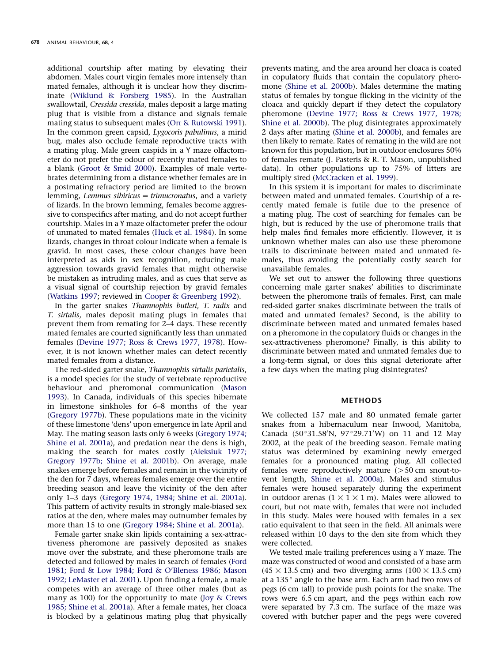additional courtship after mating by elevating their abdomen. Males court virgin females more intensely than mated females, although it is unclear how they discriminate [\(Wiklund & Forsberg 1985\)](#page-6-0). In the Australian swallowtail, Cressida cressida, males deposit a large mating plug that is visible from a distance and signals female mating status to subsequent males [\(Orr & Rutowski 1991](#page-6-0)). In the common green capsid, Lygocoris pabulinus, a mirid bug, males also occlude female reproductive tracts with a mating plug. Male green caspids in a Y maze olfactometer do not prefer the odour of recently mated females to a blank ([Groot & Smid 2000\)](#page-5-0). Examples of male vertebrates determining from a distance whether females are in a postmating refractory period are limited to the brown lemming, Lemmus sibiricus  $=$  trimucronatus, and a variety of lizards. In the brown lemming, females become aggressive to conspecifics after mating, and do not accept further courtship. Males in a Y maze olfactometer prefer the odour of unmated to mated females [\(Huck et al. 1984\)](#page-6-0). In some lizards, changes in throat colour indicate when a female is gravid. In most cases, these colour changes have been interpreted as aids in sex recognition, reducing male aggression towards gravid females that might otherwise be mistaken as intruding males, and as cues that serve as a visual signal of courtship rejection by gravid females ([Watkins 1997;](#page-6-0) reviewed in [Cooper & Greenberg 1992](#page-5-0)).

In the garter snakes Thamnophis butleri, T. radix and T. sirtalis, males deposit mating plugs in females that prevent them from remating for 2–4 days. These recently mated females are courted significantly less than unmated females ([Devine 1977; Ross & Crews 1977, 1978\)](#page-5-0). However, it is not known whether males can detect recently mated females from a distance.

The red-sided garter snake, Thamnophis sirtalis parietalis, is a model species for the study of vertebrate reproductive behaviour and pheromonal communication ([Mason](#page-6-0) [1993](#page-6-0)). In Canada, individuals of this species hibernate in limestone sinkholes for 6–8 months of the year ([Gregory 1977b](#page-5-0)). These populations mate in the vicinity of these limestone 'dens' upon emergence in late April and May. The mating season lasts only 6 weeks [\(Gregory 1974;](#page-5-0) [Shine et al. 2001a](#page-5-0)), and predation near the dens is high, making the search for mates costly [\(Aleksiuk 1977;](#page-5-0) [Gregory 1977b; Shine et al. 2001b](#page-5-0)). On average, male snakes emerge before females and remain in the vicinity of the den for 7 days, whereas females emerge over the entire breeding season and leave the vicinity of the den after only 1–3 days ([Gregory 1974, 1984; Shine et al. 2001a](#page-5-0)). This pattern of activity results in strongly male-biased sex ratios at the den, where males may outnumber females by more than 15 to one ([Gregory 1984; Shine et al. 2001a\)](#page-5-0).

Female garter snake skin lipids containing a sex-attractiveness pheromone are passively deposited as snakes move over the substrate, and these pheromone trails are detected and followed by males in search of females [\(Ford](#page-5-0) [1981; Ford & Low 1984; Ford & O'Bleness 1986; Mason](#page-5-0) [1992; LeMaster et al. 2001](#page-5-0)). Upon finding a female, a male competes with an average of three other males (but as many as 100) for the opportunity to mate ([Joy & Crews](#page-6-0) [1985; Shine et al. 2001a](#page-6-0)). After a female mates, her cloaca is blocked by a gelatinous mating plug that physically prevents mating, and the area around her cloaca is coated in copulatory fluids that contain the copulatory pheromone ([Shine et al. 2000b\)](#page-6-0). Males determine the mating status of females by tongue flicking in the vicinity of the cloaca and quickly depart if they detect the copulatory pheromone [\(Devine 1977; Ross & Crews 1977, 1978;](#page-5-0) [Shine et al. 2000b](#page-5-0)). The plug disintegrates approximately 2 days after mating ([Shine et al. 2000b](#page-6-0)), and females are then likely to remate. Rates of remating in the wild are not known for this population, but in outdoor enclosures 50% of females remate (J. Pasteris & R. T. Mason, unpublished data). In other populations up to 75% of litters are multiply sired ([McCracken et al. 1999](#page-6-0)).

In this system it is important for males to discriminate between mated and unmated females. Courtship of a recently mated female is futile due to the presence of a mating plug. The cost of searching for females can be high, but is reduced by the use of pheromone trails that help males find females more efficiently. However, it is unknown whether males can also use these pheromone trails to discriminate between mated and unmated females, thus avoiding the potentially costly search for unavailable females.

We set out to answer the following three questions concerning male garter snakes' abilities to discriminate between the pheromone trails of females. First, can male red-sided garter snakes discriminate between the trails of mated and unmated females? Second, is the ability to discriminate between mated and unmated females based on a pheromone in the copulatory fluids or changes in the sex-attractiveness pheromone? Finally, is this ability to discriminate between mated and unmated females due to a long-term signal, or does this signal deteriorate after a few days when the mating plug disintegrates?

## METHODS

We collected 157 male and 80 unmated female garter snakes from a hibernaculum near Inwood, Manitoba, Canada (50°31.58'N, 97°29.71'W) on 11 and 12 May 2002, at the peak of the breeding season. Female mating status was determined by examining newly emerged females for a pronounced mating plug. All collected females were reproductively mature  $(>50 \text{ cm}$  snout-tovent length, [Shine et al. 2000a\)](#page-6-0). Males and stimulus females were housed separately during the experiment in outdoor arenas  $(1 \times 1 \times 1$  m). Males were allowed to court, but not mate with, females that were not included in this study. Males were housed with females in a sex ratio equivalent to that seen in the field. All animals were released within 10 days to the den site from which they were collected.

We tested male trailing preferences using a Y maze. The maze was constructed of wood and consisted of a base arm  $(45 \times 13.5 \text{ cm})$  and two diverging arms  $(100 \times 13.5 \text{ cm})$ at a 135 $\degree$  angle to the base arm. Each arm had two rows of pegs (6 cm tall) to provide push points for the snake. The rows were 6.5 cm apart, and the pegs within each row were separated by 7.3 cm. The surface of the maze was covered with butcher paper and the pegs were covered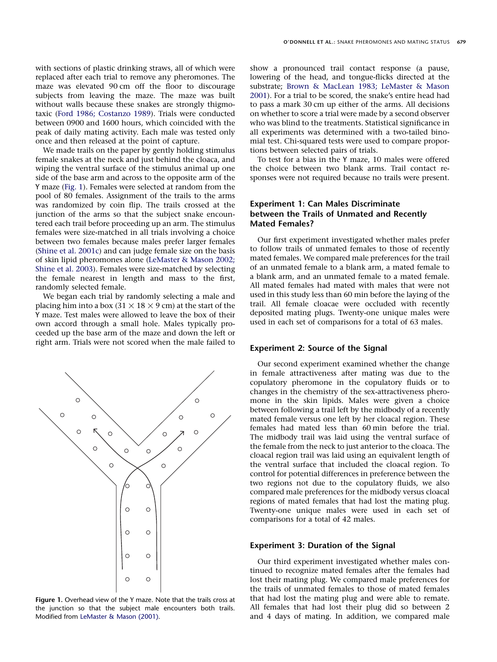with sections of plastic drinking straws, all of which were replaced after each trial to remove any pheromones. The maze was elevated 90 cm off the floor to discourage subjects from leaving the maze. The maze was built without walls because these snakes are strongly thigmotaxic [\(Ford 1986; Costanzo 1989\)](#page-5-0). Trials were conducted between 0900 and 1600 hours, which coincided with the peak of daily mating activity. Each male was tested only once and then released at the point of capture.

We made trails on the paper by gently holding stimulus female snakes at the neck and just behind the cloaca, and wiping the ventral surface of the stimulus animal up one side of the base arm and across to the opposite arm of the Y maze (Fig. 1). Females were selected at random from the pool of 80 females. Assignment of the trails to the arms was randomized by coin flip. The trails crossed at the junction of the arms so that the subject snake encountered each trail before proceeding up an arm. The stimulus females were size-matched in all trials involving a choice between two females because males prefer larger females ([Shine et al. 2001c\)](#page-6-0) and can judge female size on the basis of skin lipid pheromones alone [\(LeMaster & Mason 2002;](#page-6-0) [Shine et al. 2003](#page-6-0)). Females were size-matched by selecting the female nearest in length and mass to the first, randomly selected female.

We began each trial by randomly selecting a male and placing him into a box  $(31 \times 18 \times 9 \text{ cm})$  at the start of the Y maze. Test males were allowed to leave the box of their own accord through a small hole. Males typically proceeded up the base arm of the maze and down the left or right arm. Trials were not scored when the male failed to



Figure 1. Overhead view of the Y maze. Note that the trails cross at the junction so that the subject male encounters both trails. Modified from [LeMaster & Mason \(2001\).](#page-6-0)

show a pronounced trail contact response (a pause, lowering of the head, and tongue-flicks directed at the substrate; [Brown & MacLean 1983; LeMaster & Mason](#page-5-0) [2001](#page-5-0)). For a trial to be scored, the snake's entire head had to pass a mark 30 cm up either of the arms. All decisions on whether to score a trial were made by a second observer who was blind to the treatments. Statistical significance in all experiments was determined with a two-tailed binomial test. Chi-squared tests were used to compare proportions between selected pairs of trials.

To test for a bias in the Y maze, 10 males were offered the choice between two blank arms. Trail contact responses were not required because no trails were present.

## Experiment 1: Can Males Discriminate between the Trails of Unmated and Recently Mated Females?

Our first experiment investigated whether males prefer to follow trails of unmated females to those of recently mated females. We compared male preferences for the trail of an unmated female to a blank arm, a mated female to a blank arm, and an unmated female to a mated female. All mated females had mated with males that were not used in this study less than 60 min before the laying of the trail. All female cloacae were occluded with recently deposited mating plugs. Twenty-one unique males were used in each set of comparisons for a total of 63 males.

## Experiment 2: Source of the Signal

Our second experiment examined whether the change in female attractiveness after mating was due to the copulatory pheromone in the copulatory fluids or to changes in the chemistry of the sex-attractiveness pheromone in the skin lipids. Males were given a choice between following a trail left by the midbody of a recently mated female versus one left by her cloacal region. These females had mated less than 60 min before the trial. The midbody trail was laid using the ventral surface of the female from the neck to just anterior to the cloaca. The cloacal region trail was laid using an equivalent length of the ventral surface that included the cloacal region. To control for potential differences in preference between the two regions not due to the copulatory fluids, we also compared male preferences for the midbody versus cloacal regions of mated females that had lost the mating plug. Twenty-one unique males were used in each set of comparisons for a total of 42 males.

## Experiment 3: Duration of the Signal

Our third experiment investigated whether males continued to recognize mated females after the females had lost their mating plug. We compared male preferences for the trails of unmated females to those of mated females that had lost the mating plug and were able to remate. All females that had lost their plug did so between 2 and 4 days of mating. In addition, we compared male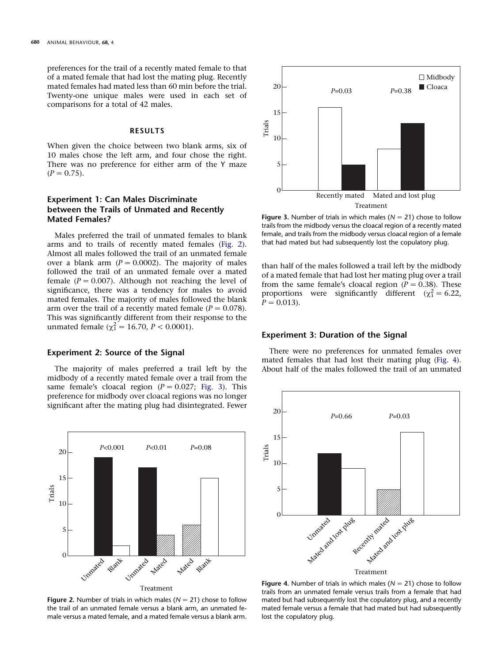preferences for the trail of a recently mated female to that of a mated female that had lost the mating plug. Recently mated females had mated less than 60 min before the trial. Twenty-one unique males were used in each set of comparisons for a total of 42 males.

## RESULTS

When given the choice between two blank arms, six of 10 males chose the left arm, and four chose the right. There was no preference for either arm of the Y maze  $(P = 0.75)$ .

## Experiment 1: Can Males Discriminate between the Trails of Unmated and Recently Mated Females?

Males preferred the trail of unmated females to blank arms and to trails of recently mated females (Fig. 2). Almost all males followed the trail of an unmated female over a blank arm  $(P = 0.0002)$ . The majority of males followed the trail of an unmated female over a mated female ( $P = 0.007$ ). Although not reaching the level of significance, there was a tendency for males to avoid mated females. The majority of males followed the blank arm over the trail of a recently mated female ( $P = 0.078$ ). This was significantly different from their response to the unmated female ( $\chi_1^2 = 16.70, P < 0.0001$ ).

### Experiment 2: Source of the Signal

The majority of males preferred a trail left by the midbody of a recently mated female over a trail from the same female's cloacal region ( $P = 0.027$ ; Fig. 3). This preference for midbody over cloacal regions was no longer significant after the mating plug had disintegrated. Fewer



Figure 2. Number of trials in which males ( $N = 21$ ) chose to follow the trail of an unmated female versus a blank arm, an unmated female versus a mated female, and a mated female versus a blank arm.



**Figure 3.** Number of trials in which males ( $N = 21$ ) chose to follow trails from the midbody versus the cloacal region of a recently mated female, and trails from the midbody versus cloacal region of a female that had mated but had subsequently lost the copulatory plug.

than half of the males followed a trail left by the midbody of a mated female that had lost her mating plug over a trail from the same female's cloacal region ( $P = 0.38$ ). These proportions were significantly different ( $\chi_1^2 = 6.22$ ,  $P = 0.013$ .

## Experiment 3: Duration of the Signal

There were no preferences for unmated females over mated females that had lost their mating plug (Fig. 4). About half of the males followed the trail of an unmated



**Figure 4.** Number of trials in which males ( $N = 21$ ) chose to follow trails from an unmated female versus trails from a female that had mated but had subsequently lost the copulatory plug, and a recently mated female versus a female that had mated but had subsequently lost the copulatory plug.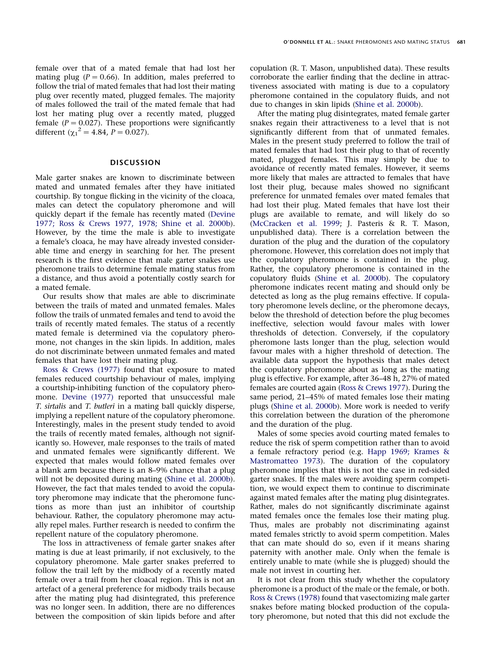female over that of a mated female that had lost her mating plug ( $P = 0.66$ ). In addition, males preferred to follow the trial of mated females that had lost their mating plug over recently mated, plugged females. The majority of males followed the trail of the mated female that had lost her mating plug over a recently mated, plugged female ( $P = 0.027$ ). These proportions were significantly different  $(\chi_1^2 = 4.84, P = 0.027)$ .

### DISCUSSION

Male garter snakes are known to discriminate between mated and unmated females after they have initiated courtship. By tongue flicking in the vicinity of the cloaca, males can detect the copulatory pheromone and will quickly depart if the female has recently mated [\(Devine](#page-5-0) [1977; Ross & Crews 1977, 1978; Shine et al. 2000b](#page-5-0)). However, by the time the male is able to investigate a female's cloaca, he may have already invested considerable time and energy in searching for her. The present research is the first evidence that male garter snakes use pheromone trails to determine female mating status from a distance, and thus avoid a potentially costly search for a mated female.

Our results show that males are able to discriminate between the trails of mated and unmated females. Males follow the trails of unmated females and tend to avoid the trails of recently mated females. The status of a recently mated female is determined via the copulatory pheromone, not changes in the skin lipids. In addition, males do not discriminate between unmated females and mated females that have lost their mating plug.

[Ross & Crews \(1977\)](#page-6-0) found that exposure to mated females reduced courtship behaviour of males, implying a courtship-inhibiting function of the copulatory pheromone. [Devine \(1977\)](#page-5-0) reported that unsuccessful male T. sirtalis and T. butleri in a mating ball quickly disperse, implying a repellent nature of the copulatory pheromone. Interestingly, males in the present study tended to avoid the trails of recently mated females, although not significantly so. However, male responses to the trails of mated and unmated females were significantly different. We expected that males would follow mated females over a blank arm because there is an 8–9% chance that a plug will not be deposited during mating [\(Shine et al. 2000b](#page-6-0)). However, the fact that males tended to avoid the copulatory pheromone may indicate that the pheromone functions as more than just an inhibitor of courtship behaviour. Rather, the copulatory pheromone may actually repel males. Further research is needed to confirm the repellent nature of the copulatory pheromone.

The loss in attractiveness of female garter snakes after mating is due at least primarily, if not exclusively, to the copulatory pheromone. Male garter snakes preferred to follow the trail left by the midbody of a recently mated female over a trail from her cloacal region. This is not an artefact of a general preference for midbody trails because after the mating plug had disintegrated, this preference was no longer seen. In addition, there are no differences between the composition of skin lipids before and after

copulation (R. T. Mason, unpublished data). These results corroborate the earlier finding that the decline in attractiveness associated with mating is due to a copulatory pheromone contained in the copulatory fluids, and not due to changes in skin lipids ([Shine et al. 2000b](#page-6-0)).

After the mating plug disintegrates, mated female garter snakes regain their attractiveness to a level that is not significantly different from that of unmated females. Males in the present study preferred to follow the trail of mated females that had lost their plug to that of recently mated, plugged females. This may simply be due to avoidance of recently mated females. However, it seems more likely that males are attracted to females that have lost their plug, because males showed no significant preference for unmated females over mated females that had lost their plug. Mated females that have lost their plugs are available to remate, and will likely do so ([McCracken et al. 1999](#page-6-0); J. Pasteris & R. T. Mason, unpublished data). There is a correlation between the duration of the plug and the duration of the copulatory pheromone. However, this correlation does not imply that the copulatory pheromone is contained in the plug. Rather, the copulatory pheromone is contained in the copulatory fluids [\(Shine et al. 2000b](#page-6-0)). The copulatory pheromone indicates recent mating and should only be detected as long as the plug remains effective. If copulatory pheromone levels decline, or the pheromone decays, below the threshold of detection before the plug becomes ineffective, selection would favour males with lower thresholds of detection. Conversely, if the copulatory pheromone lasts longer than the plug, selection would favour males with a higher threshold of detection. The available data support the hypothesis that males detect the copulatory pheromone about as long as the mating plug is effective. For example, after 36–48 h, 27% of mated females are courted again [\(Ross & Crews 1977\)](#page-6-0). During the same period, 21–45% of mated females lose their mating plugs ([Shine et al. 2000b\)](#page-6-0). More work is needed to verify this correlation between the duration of the pheromone and the duration of the plug.

Males of some species avoid courting mated females to reduce the risk of sperm competition rather than to avoid a female refractory period (e.g. [Happ 1969; Krames &](#page-6-0) [Mastromatteo 1973\)](#page-6-0). The duration of the copulatory pheromone implies that this is not the case in red-sided garter snakes. If the males were avoiding sperm competition, we would expect them to continue to discriminate against mated females after the mating plug disintegrates. Rather, males do not significantly discriminate against mated females once the females lose their mating plug. Thus, males are probably not discriminating against mated females strictly to avoid sperm competition. Males that can mate should do so, even if it means sharing paternity with another male. Only when the female is entirely unable to mate (while she is plugged) should the male not invest in courting her.

It is not clear from this study whether the copulatory pheromone is a product of the male or the female, or both. [Ross & Crews \(1978\)](#page-6-0) found that vasectomizing male garter snakes before mating blocked production of the copulatory pheromone, but noted that this did not exclude the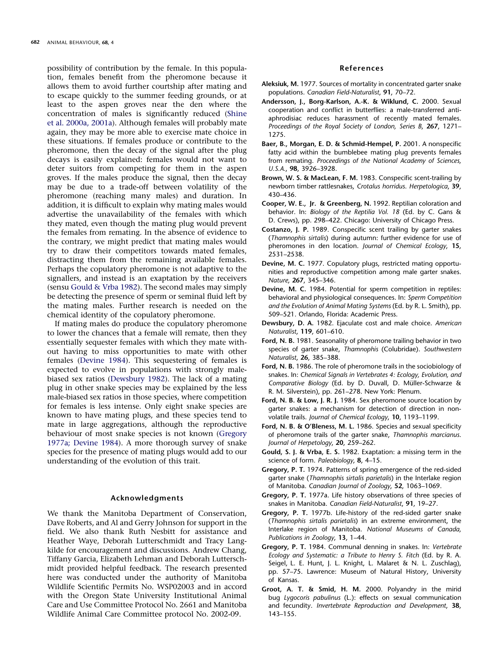<span id="page-5-0"></span>possibility of contribution by the female. In this population, females benefit from the pheromone because it allows them to avoid further courtship after mating and to escape quickly to the summer feeding grounds, or at least to the aspen groves near the den where the concentration of males is significantly reduced [\(Shine](#page-6-0) [et al. 2000a, 2001a](#page-6-0)). Although females will probably mate again, they may be more able to exercise mate choice in these situations. If females produce or contribute to the pheromone, then the decay of the signal after the plug decays is easily explained: females would not want to deter suitors from competing for them in the aspen groves. If the males produce the signal, then the decay may be due to a trade-off between volatility of the pheromone (reaching many males) and duration. In addition, it is difficult to explain why mating males would advertise the unavailability of the females with which they mated, even though the mating plug would prevent the females from remating. In the absence of evidence to the contrary, we might predict that mating males would try to draw their competitors towards mated females, distracting them from the remaining available females. Perhaps the copulatory pheromone is not adaptive to the signallers, and instead is an exaptation by the receivers (sensu Gould & Vrba 1982). The second males may simply be detecting the presence of sperm or seminal fluid left by the mating males. Further research is needed on the chemical identity of the copulatory pheromone.

If mating males do produce the copulatory pheromone to lower the chances that a female will remate, then they essentially sequester females with which they mate without having to miss opportunities to mate with other females (Devine 1984). This sequestering of females is expected to evolve in populations with strongly malebiased sex ratios (Dewsbury 1982). The lack of a mating plug in other snake species may be explained by the less male-biased sex ratios in those species, where competition for females is less intense. Only eight snake species are known to have mating plugs, and these species tend to mate in large aggregations, although the reproductive behaviour of most snake species is not known (Gregory 1977a; Devine 1984). A more thorough survey of snake species for the presence of mating plugs would add to our understanding of the evolution of this trait.

#### Acknowledgments

We thank the Manitoba Department of Conservation, Dave Roberts, and Al and Gerry Johnson for support in the field. We also thank Ruth Nesbitt for assistance and Heather Waye, Deborah Lutterschmidt and Tracy Langkilde for encouragement and discussions. Andrew Chang, Tiffany Garcia, Elizabeth Lehman and Deborah Lutterschmidt provided helpful feedback. The research presented here was conducted under the authority of Manitoba Wildlife Scientific Permits No. WSP02003 and in accord with the Oregon State University Institutional Animal Care and Use Committee Protocol No. 2661 and Manitoba Wildlife Animal Care Committee protocol No. 2002-09.

#### References

- Aleksiuk, M. 1977. Sources of mortality in concentrated garter snake populations. Canadian Field-Naturalist, 91, 70–72.
- Andersson, J., Borg-Karlson, A.-K. & Wiklund, C. 2000. Sexual cooperation and conflict in butterflies: a male-transferred antiaphrodisiac reduces harassment of recently mated females. Proceedings of the Royal Society of London, Series B, 267, 1271– 1275.
- Baer, B., Morgan, E. D. & Schmid-Hempel, P. 2001. A nonspecific fatty acid within the bumblebee mating plug prevents females from remating. Proceedings of the National Academy of Sciences, U.S.A., 98, 3926–3928.
- Brown, W. S. & MacLean, F. M. 1983. Conspecific scent-trailing by newborn timber rattlesnakes, Crotalus horridus. Herpetologica, 39, 430–436.
- Cooper, W. E., Jr. & Greenberg, N. 1992. Reptilian coloration and behavior. In: Biology of the Reptilia Vol. 18 (Ed. by C. Gans & D. Crews), pp. 298–422. Chicago: University of Chicago Press.
- Costanzo, J. P. 1989. Conspecific scent trailing by garter snakes (Thamnophis sirtalis) during autumn: further evidence for use of pheromones in den location. Journal of Chemical Ecology, 15, 2531–2538.
- Devine, M. C. 1977. Copulatory plugs, restricted mating opportunities and reproductive competition among male garter snakes. Nature, 267, 345–346.
- Devine, M. C. 1984. Potential for sperm competition in reptiles: behavioral and physiological consequences. In: Sperm Competition and the Evolution of Animal Mating Systems (Ed. by R. L. Smith), pp. 509–521. Orlando, Florida: Academic Press.
- Dewsbury, D. A. 1982. Ejaculate cost and male choice. American Naturalist, 119, 601–610.
- Ford, N. B. 1981. Seasonality of pheromone trailing behavior in two species of garter snake, Thamnophis (Colubridae). Southwestern Naturalist, 26, 385–388.
- Ford, N. B. 1986. The role of pheromone trails in the sociobiology of snakes. In: Chemical Signals in Vertebrates 4: Ecology, Evolution, and Comparative Biology (Ed. by D. Duvall, D. Müller-Schwarze & R. M. Silverstein), pp. 261–278. New York: Plenum.
- Ford, N. B. & Low, J. R. J. 1984. Sex pheromone source location by garter snakes: a mechanism for detection of direction in nonvolatile trails. Journal of Chemical Ecology, 10, 1193–1199.
- Ford, N. B. & O'Bleness, M. L. 1986. Species and sexual specificity of pheromone trails of the garter snake, Thamnophis marcianus. Journal of Herpetology, 20, 259–262.
- Gould, S. J. & Vrba, E. S. 1982. Exaptation: a missing term in the science of form. Paleobiology, 8, 4-15.
- Gregory, P. T. 1974. Patterns of spring emergence of the red-sided garter snake (Thamnophis sirtalis parietalis) in the Interlake region of Manitoba. Canadian Journal of Zoology, 52, 1063–1069.
- Gregory, P. T. 1977a. Life history observations of three species of snakes in Manitoba. Canadian Field-Naturalist, 91, 19–27.
- Gregory, P. T. 1977b. Life-history of the red-sided garter snake (Thamnophis sirtalis parietalis) in an extreme environment, the Interlake region of Manitoba. National Museums of Canada, Publications in Zoology, 13, 1–44.
- Gregory, P. T. 1984. Communal denning in snakes. In: Vertebrate Ecology and Systematic: a Tribute to Henry S. Fitch (Ed. by R. A. Seigel, L. E. Hunt, J. L. Knight, L. Malaret & N. L. Zuschlag), pp. 57–75. Lawrence: Museum of Natural History, University of Kansas.
- Groot, A. T. & Smid, H. M. 2000. Polyandry in the mirid bug Lygocoris pabulinus (L.): effects on sexual communication and fecundity. Invertebrate Reproduction and Development, 38, 143–155.